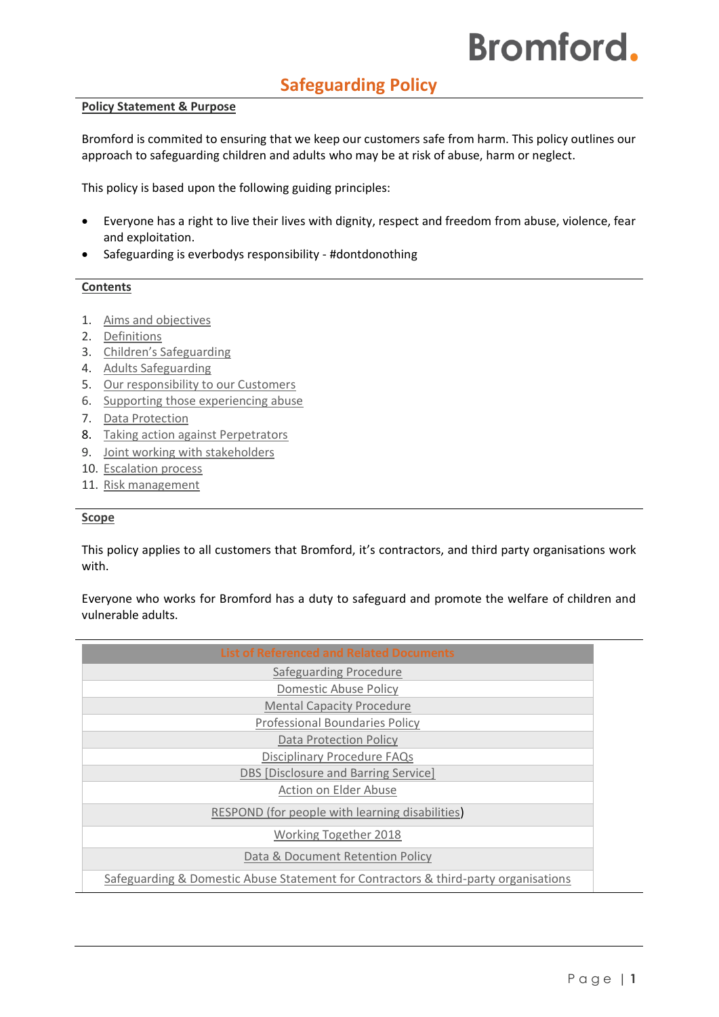# **Safeguarding Policy**

## **Policy Statement & Purpose**

Bromford is commited to ensuring that we keep our customers safe from harm. This policy outlines our approach to safeguarding children and adults who may be at risk of abuse, harm or neglect.

This policy is based upon the following guiding principles:

- Everyone has a right to live their lives with dignity, respect and freedom from abuse, violence, fear and exploitation.
- Safeguarding is everbodys responsibility #dontdonothing

## **Contents**

- 1. [Aims and objectives](#page-1-0)
- 2. [Definitions](#page-2-0)
- 3. [Children's Safeguarding](#page-3-0)
- 4. [Adults Safeguarding](#page-3-1)
- 5. [Our responsibility to our Customers](#page-4-0)
- 6. [Supporting those experiencing abuse](#page-4-1)
- 7. [Data Protection](#page-4-2)
- 8. [Taking action against Perpetrators](#page-4-3)
- 9. [Joint working with stakeholders](#page-4-4)
- 10. [Escalation process](#page-5-0)
- 11. [Risk management](#page-5-1)

## **Scope**

This policy applies to all customers that Bromford, it's contractors, and third party organisations work with.

Everyone who works for Bromford has a duty to safeguard and promote the welfare of children and vulnerable adults.

| <b>List of Referenced and Related Documents</b>                                     |
|-------------------------------------------------------------------------------------|
| Safeguarding Procedure                                                              |
| <b>Domestic Abuse Policy</b>                                                        |
| <b>Mental Capacity Procedure</b>                                                    |
| <b>Professional Boundaries Policy</b>                                               |
| <b>Data Protection Policy</b>                                                       |
| <b>Disciplinary Procedure FAQs</b>                                                  |
| DBS [Disclosure and Barring Service]                                                |
| Action on Elder Abuse                                                               |
| RESPOND (for people with learning disabilities)                                     |
| <b>Working Together 2018</b>                                                        |
| Data & Document Retention Policy                                                    |
| Safeguarding & Domestic Abuse Statement for Contractors & third-party organisations |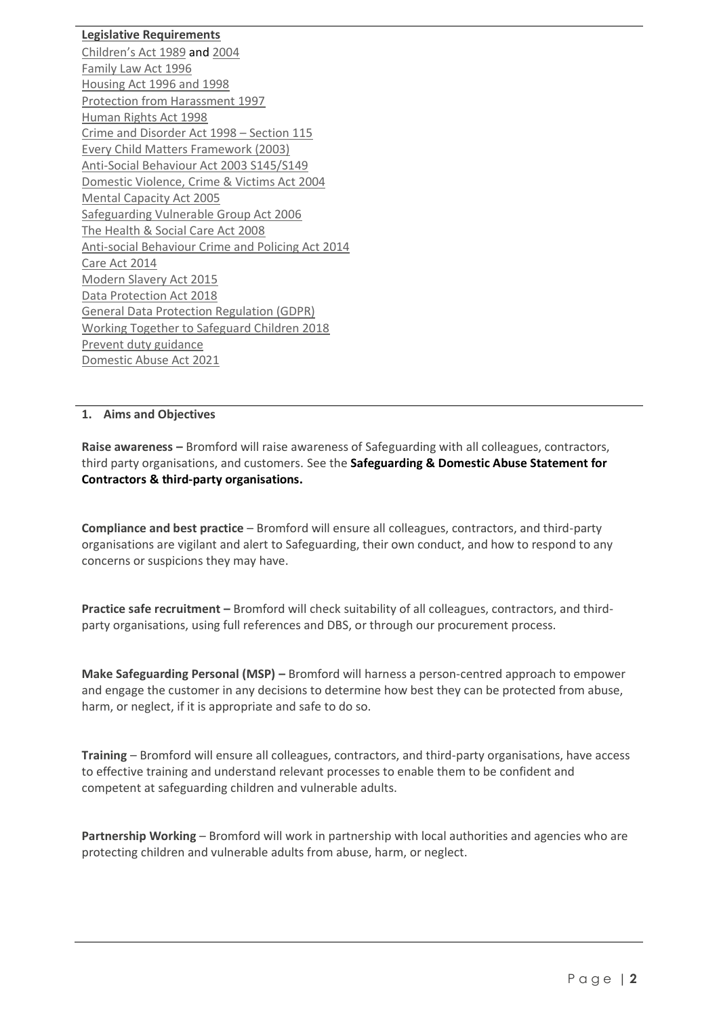# **Legislative Requirements**

[Children's Act 1989](http://www.legislation.gov.uk/ukpga/1989/41/contents) and [2004](http://www.legislation.gov.uk/ukpga/2004/31/contents) [Family Law Act 1996](http://www.legislation.gov.uk/ukpga/1996/27/contents) [Housing Act 1996](http://www.legislation.gov.uk/ukpga/1996/52/contents) an[d 1998](http://www.legislation.gov.uk/ukpga/1988/50/contents) [Protection from Harassment 1997](http://www.legislation.gov.uk/ukpga/1997/40/contents) [Human Rights Act 1998](http://www.legislation.gov.uk/ukpga/1998/42/contents) [Crime and Disorder Act 1998](http://www.legislation.gov.uk/ukpga/1998/37/section/115) – Section 115 [Every Child Matters Framework \(2003\)](https://www.gov.uk/government/uploads/system/uploads/attachment_data/file/272064/5860.pdf) [Anti-Social Behaviour Act 2003 S145/S149](http://www.legislation.gov.uk/ukpga/2003/38/contents) [Domestic Violence, Crime & Victims Act 2004](http://www.legislation.gov.uk/ukpga/2004/28/contents) [Mental Capacity Act 2005](http://www.legislation.gov.uk/ukpga/2005/9/contents) [Safeguarding Vulnerable Group Act 2006](http://www.legislation.gov.uk/ukpga/2006/47/pdfs/ukpga_20060047_en.pdf) [The Health & Social Care Act 2008](http://www.legislation.gov.uk/ukpga/2008/14/contents) [Anti-social Behaviour Crime and Policing Act 2014](http://www.legislation.gov.uk/ukpga/2014/12/contents/enacted) [Care Act 2014](http://www.legislation.gov.uk/ukpga/2014/23/contents/enacted) [Modern Slavery Act 2015](http://www.legislation.gov.uk/ukpga/2015/30/contents/enacted) [Data Protection Act 2018](http://www.legislation.gov.uk/ukpga/2018/12/contents/enacted) [General Data Protection Regulation \(GDPR\)](https://ico.org.uk/for-organisations/guide-to-data-protection/guide-to-the-general-data-protection-regulation-gdpr/) [Working Together to Safeguard Children 2018](https://assets.publishing.service.gov.uk/government/uploads/system/uploads/attachment_data/file/729914/Working_Together_to_Safeguard_Children-2018.pdf) [Prevent duty guidance](https://www.gov.uk/government/publications/prevent-duty-guidance) [Domestic Abuse Act 2021](https://www.legislation.gov.uk/ukpga/2021/17/contents/enacted)

# <span id="page-1-0"></span>**1. Aims and Objectives**

**Raise awareness –** Bromford will raise awareness of Safeguarding with all colleagues, contractors, third party organisations, and customers. See the **Safeguarding & Domestic Abuse Statement for Contractors & third-party organisations.**

**Compliance and best practice** – Bromford will ensure all colleagues, contractors, and third-party organisations are vigilant and alert to Safeguarding, their own conduct, and how to respond to any concerns or suspicions they may have.

**Practice safe recruitment –** Bromford will check suitability of all colleagues, contractors, and thirdparty organisations, using full references and DBS, or through our procurement process.

**Make Safeguarding Personal (MSP) –** Bromford will harness a person-centred approach to empower and engage the customer in any decisions to determine how best they can be protected from abuse, harm, or neglect, if it is appropriate and safe to do so.

**Training** – Bromford will ensure all colleagues, contractors, and third-party organisations, have access to effective training and understand relevant processes to enable them to be confident and competent at safeguarding children and vulnerable adults.

**Partnership Working** – Bromford will work in partnership with local authorities and agencies who are protecting children and vulnerable adults from abuse, harm, or neglect.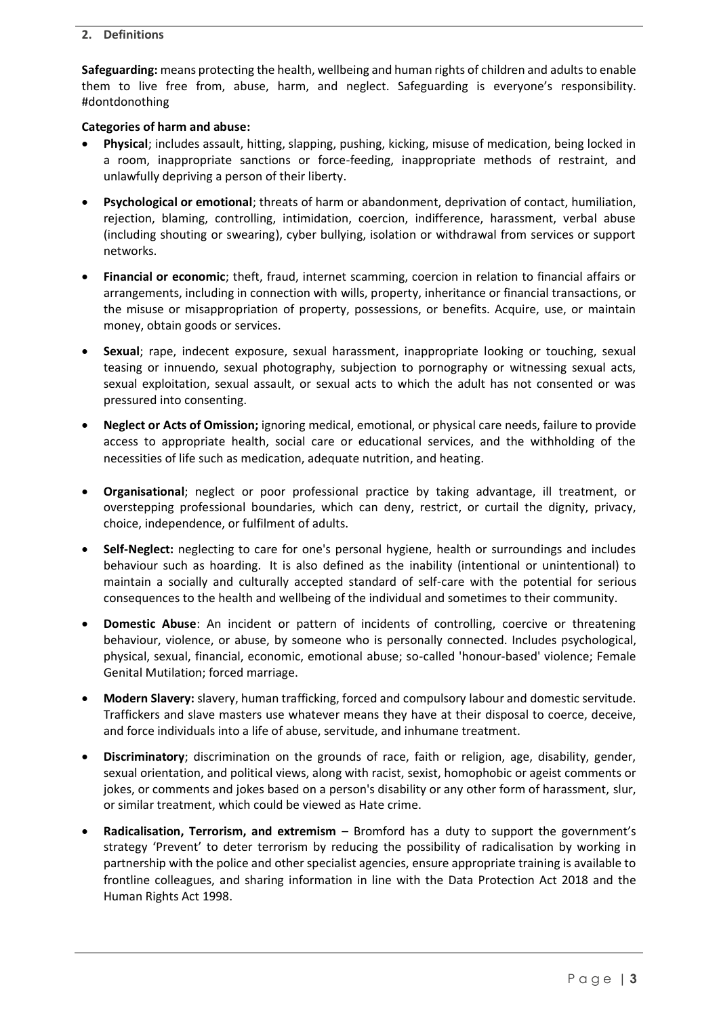## <span id="page-2-0"></span>**2. Definitions**

**Safeguarding:** means protecting the health, wellbeing and human rights of children and adults to enable them to live free from, abuse, harm, and neglect. Safeguarding is everyone's responsibility. #dontdonothing

## **Categories of harm and abuse:**

- **Physical**; includes assault, hitting, slapping, pushing, kicking, misuse of medication, being locked in a room, inappropriate sanctions or force-feeding, inappropriate methods of restraint, and unlawfully depriving a person of their liberty.
- **Psychological or emotional**; threats of harm or abandonment, deprivation of contact, humiliation, rejection, blaming, controlling, intimidation, coercion, indifference, harassment, verbal abuse (including shouting or swearing), cyber bullying, isolation or withdrawal from services or support networks.
- **Financial or economic**; theft, fraud, internet scamming, coercion in relation to financial affairs or arrangements, including in connection with wills, property, inheritance or financial transactions, or the misuse or misappropriation of property, possessions, or benefits. Acquire, use, or maintain money, obtain goods or services.
- **Sexual**; rape, indecent exposure, sexual harassment, inappropriate looking or touching, sexual teasing or innuendo, sexual photography, subjection to pornography or witnessing sexual acts, sexual exploitation, sexual assault, or sexual acts to which the adult has not consented or was pressured into consenting.
- **Neglect or Acts of Omission;** ignoring medical, emotional, or physical care needs, failure to provide access to appropriate health, social care or educational services, and the withholding of the necessities of life such as medication, adequate nutrition, and heating.
- **Organisational**; neglect or poor professional practice by taking advantage, ill treatment, or overstepping professional boundaries, which can deny, restrict, or curtail the dignity, privacy, choice, independence, or fulfilment of adults.
- **Self-Neglect:** neglecting to care for one's personal hygiene, health or surroundings and includes behaviour such as hoarding. It is also defined as the inability (intentional or unintentional) to maintain a socially and culturally accepted standard of self-care with the potential for serious consequences to the health and wellbeing of the individual and sometimes to their community.
- **Domestic Abuse**: An incident or pattern of incidents of controlling, coercive or threatening behaviour, violence, or abuse, by someone who is personally connected. Includes psychological, physical, sexual, financial, economic, emotional abuse; so-called 'honour-based' violence; Female Genital Mutilation; forced marriage.
- **Modern Slavery:** slavery, human trafficking, forced and compulsory labour and domestic servitude. Traffickers and slave masters use whatever means they have at their disposal to coerce, deceive, and force individuals into a life of abuse, servitude, and inhumane treatment.
- **Discriminatory**; discrimination on the grounds of race, faith or religion, age, disability, gender, sexual orientation, and political views, along with racist, sexist, homophobic or ageist comments or jokes, or comments and jokes based on a person's disability or any other form of harassment, slur, or similar treatment, which could be viewed as Hate crime.
- **Radicalisation, Terrorism, and extremism** Bromford has a duty to support the government's strategy 'Prevent' to deter terrorism by reducing the possibility of radicalisation by working in partnership with the police and other specialist agencies, ensure appropriate training is available to frontline colleagues, and sharing information in line with the Data Protection Act 2018 and the Human Rights Act 1998.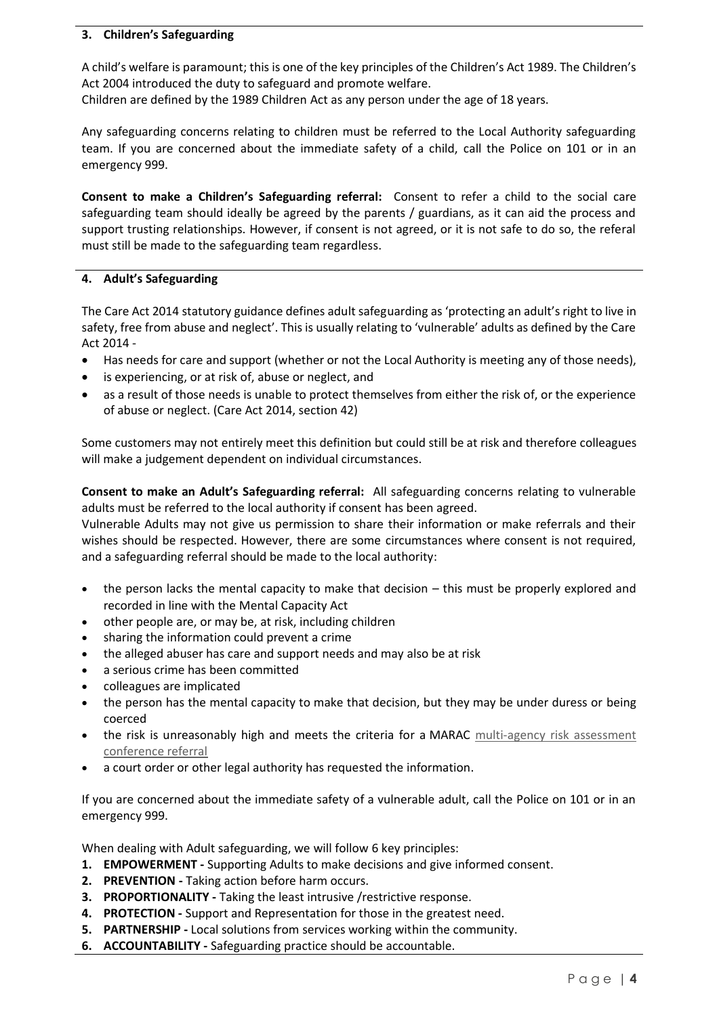# <span id="page-3-0"></span>**3. Children's Safeguarding**

A child's welfare is paramount; this is one of the key principles of the Children's Act 1989. The Children's Act 2004 introduced the duty to safeguard and promote welfare.

Children are defined by the 1989 Children Act as any person under the age of 18 years.

Any safeguarding concerns relating to children must be referred to the Local Authority safeguarding team. If you are concerned about the immediate safety of a child, call the Police on 101 or in an emergency 999.

**Consent to make a Children's Safeguarding referral:** Consent to refer a child to the social care safeguarding team should ideally be agreed by the parents / guardians, as it can aid the process and support trusting relationships. However, if consent is not agreed, or it is not safe to do so, the referal must still be made to the safeguarding team regardless.

# <span id="page-3-1"></span>**4. Adult's Safeguarding**

The Care Act 2014 statutory guidance defines adult safeguarding as 'protecting an adult's right to live in safety, free from abuse and neglect'. This is usually relating to 'vulnerable' adults as defined by the Care Act 2014 -

- Has needs for care and support (whether or not the Local Authority is meeting any of those needs),
- is experiencing, or at risk of, abuse or neglect, and
- as a result of those needs is unable to protect themselves from either the risk of, or the experience of abuse or neglect. (Care Act 2014, section 42)

Some customers may not entirely meet this definition but could still be at risk and therefore colleagues will make a judgement dependent on individual circumstances.

**Consent to make an Adult's Safeguarding referral:** All safeguarding concerns relating to vulnerable adults must be referred to the local authority if consent has been agreed.

Vulnerable Adults may not give us permission to share their information or make referrals and their wishes should be respected. However, there are some circumstances where consent is not required, and a safeguarding referral should be made to the local authority:

- the person lacks the mental capacity to make that decision this must be properly explored and recorded in line with the Mental Capacity Act
- other people are, or may be, at risk, including children
- sharing the information could prevent a crime
- the alleged abuser has care and support needs and may also be at risk
- a serious crime has been committed
- colleagues are implicated
- the person has the mental capacity to make that decision, but they may be under duress or being coerced
- the risk is unreasonably high and meets the criteria for a MARAC [multi-agency risk assessment](https://safelives.org.uk/practice-support/resources-marac-meetings/resources-people-referring)  [conference referral](https://safelives.org.uk/practice-support/resources-marac-meetings/resources-people-referring)
- a court order or other legal authority has requested the information.

If you are concerned about the immediate safety of a vulnerable adult, call the Police on 101 or in an emergency 999.

When dealing with Adult safeguarding, we will follow 6 key principles:

- **1. EMPOWERMENT -** Supporting Adults to make decisions and give informed consent.
- **2. PREVENTION -** Taking action before harm occurs.
- **3. PROPORTIONALITY -** Taking the least intrusive /restrictive response.
- **4. PROTECTION -** Support and Representation for those in the greatest need.
- **5. PARTNERSHIP -** Local solutions from services working within the community.
- **6. ACCOUNTABILITY -** Safeguarding practice should be accountable.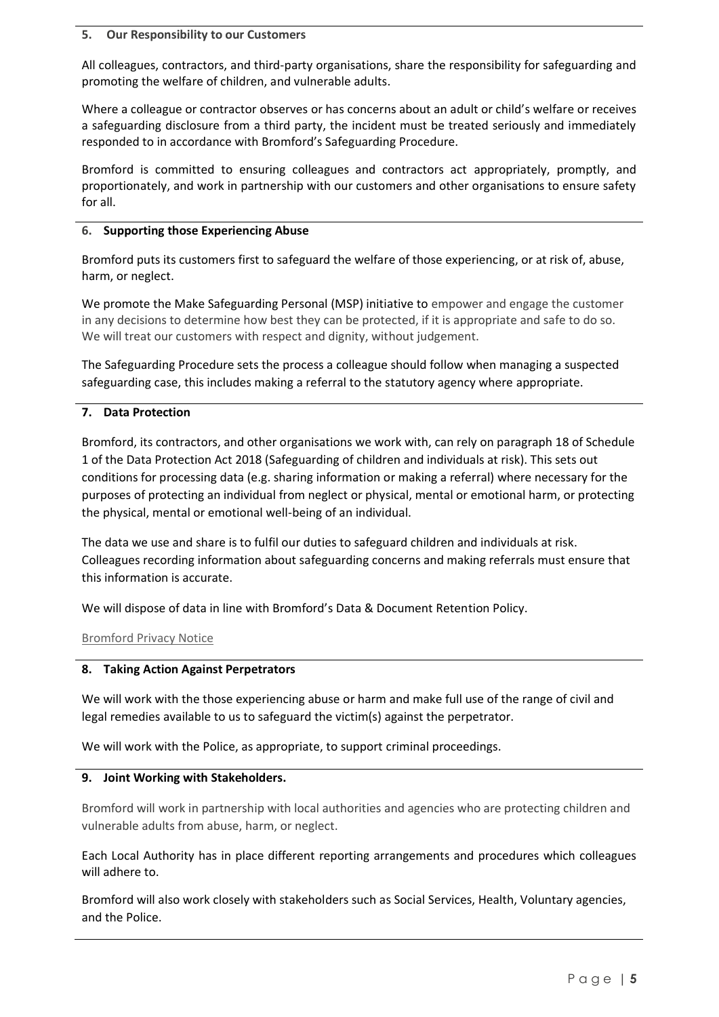#### <span id="page-4-0"></span>**5. Our Responsibility to our Customers**

All colleagues, contractors, and third-party organisations, share the responsibility for safeguarding and promoting the welfare of children, and vulnerable adults.

Where a colleague or contractor observes or has concerns about an adult or child's welfare or receives a safeguarding disclosure from a third party, the incident must be treated seriously and immediately responded to in accordance with Bromford's Safeguarding Procedure.

Bromford is committed to ensuring colleagues and contractors act appropriately, promptly, and proportionately, and work in partnership with our customers and other organisations to ensure safety for all.

#### <span id="page-4-1"></span>**6. Supporting those Experiencing Abuse**

Bromford puts its customers first to safeguard the welfare of those experiencing, or at risk of, abuse, harm, or neglect.

We promote the Make Safeguarding Personal (MSP) initiative to empower and engage the customer in any decisions to determine how best they can be protected, if it is appropriate and safe to do so. We will treat our customers with respect and dignity, without judgement.

The Safeguarding Procedure sets the process a colleague should follow when managing a suspected safeguarding case, this includes making a referral to the statutory agency where appropriate.

# <span id="page-4-2"></span>**7. Data Protection**

Bromford, its contractors, and other organisations we work with, can rely on paragraph 18 of Schedule 1 of the Data Protection Act 2018 (Safeguarding of children and individuals at risk). This sets out conditions for processing data (e.g. sharing information or making a referral) where necessary for the purposes of protecting an individual from neglect or physical, mental or emotional harm, or protecting the physical, mental or emotional well-being of an individual.

The data we use and share is to fulfil our duties to safeguard children and individuals at risk. Colleagues recording information about safeguarding concerns and making referrals must ensure that this information is accurate.

We will dispose of data in line with Bromford's Data & Document Retention Policy.

## [Bromford Privacy Notice](https://www.bromford.co.uk/about-us/open-and-transparent/privacy-notice/)

## <span id="page-4-3"></span>**8. Taking Action Against Perpetrators**

We will work with the those experiencing abuse or harm and make full use of the range of civil and legal remedies available to us to safeguard the victim(s) against the perpetrator.

We will work with the Police, as appropriate, to support criminal proceedings.

## <span id="page-4-4"></span>**9. Joint Working with Stakeholders.**

Bromford will work in partnership with local authorities and agencies who are protecting children and vulnerable adults from abuse, harm, or neglect.

Each Local Authority has in place different reporting arrangements and procedures which colleagues will adhere to.

Bromford will also work closely with stakeholders such as Social Services, Health, Voluntary agencies, and the Police.